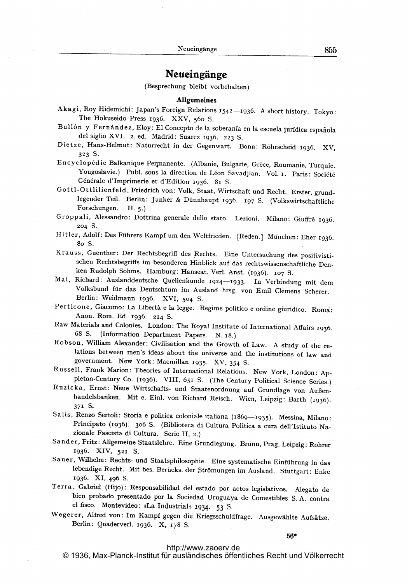# Neueingänge

(Besprechung bleibt vorbehalten)

### Allgemeines

- Akagi, Roy Hidemichi: Japan's Foreign Relations 1542-1936. A short history. Tokyo: The Hokuseido Press 1936. XXV, 56o S.
- Bull6n y Fermindez, Eloy: El Concepto de la soberania en la escuela jurfdica espahola del siglio XVI. 2. ed. Madrid: Suarez 1936. 223 S.
- Dietze, Hans-Helmut: Naturrecht in der Gegenwart. Bonn: R6hrscheid 1936. XV, 323 S.

Encyclopédie Balkanique Permanente. (Albanie, Bulgarie, Grèce, Roumanie, Turquie, Yougoslavie.) Publ. sous la direction de Léon Savadjian. Vol. I. Paris: Société Générale d'Imprimerie et d'Edition 1936. 81 S.

Gottl-Ottlilienfeld, Friedrich von: Volk, Staat, Wirtschaft und Recht. Erster, grundlegender Teil, Berlin: Junker & Dünnhaupt 1936. 197 S. (Volkswirtschaftliche Forschungen. H. 5.)

- Groppali, Alessandro: Dottrina generale dello stato. Lezioni. Milano: Giuffrè 1936. 204 S.
- Hitler, Adolf: Des Führers Kampf um den Weltfrieden. [Reden.] München: Eher 1936. 8o S.
- Krauss, Guenther: Der Rechtsbegriff des Rechts. Eine Untersuchung des positivistischen Rechtsbegriffs im besonderen Hinblick auf das rechtswissenschaftliche Denken Rudolph Sohms. Hamburg: Hanseat. Verl. Anst. (1936). 107 S.
- Mai, Richard: Auslanddeutsche Quellenkunde 1924-1933. In Verbindung mit dem Volksbund für das Deutschtum im Ausland hrsg. von Emil Clemens Scherer. Berlin: Weidmann 1936. XVI, 5o4 S.
- Perticone, Giacomo: La Liberth <sup>e</sup> la legge. Regime politico <sup>e</sup> ordine giuridico. Roma: Anon. Rom. Ed. 1936. 214 S.
- Raw Materials and Colonies. London: The Royal Institute of International Affairs 1936. 68 S. (Information Department Papers. N. 18.)
- Robson, William Alexander: Civilisation and the Growth of Law. A study of the relations between men's ideas about the universe and the institutions of law and government. New York: Macmillan 1935. XV, 354 S.
- Russell, Frank Marion: Theories of International Relations. New York, London: Appleton-Century Co. (1936). VIII, 651 S. (The Century Political Science Series.)
- Ruzicka, Ernst: Neue Wirtschafts- und Staatenordnung auf Grundlage von Außenhandelsbanken. Mit e. Einl. von Richard Reisch. Wien, Leipzig: Barth (1936). 371 S.
- Salis, Renzo Sertoli: Storia e politica coloniale italiana (1869-1935). Messina, Milano: Principato (1936). 306 S. (Biblioteca di Cultura Politica a cura dell'Istituto Nazionale Fascista di Cultura. Serie 11, 2.)
- Sander, Fritz: Allgemeine Staatslehre. Eine Grundlegung. Brünn, Prag, Leipzig: Rohrer 1936. XIV, 521 S.
- Sauer, Wilhelm: Rechts- und Staatsphilosophie. Eine systematische Einführung in das lebendige Recht. Mit bes. Berücks. der Strömungen im Ausland. Stuttgart: Enke 1936. XI, 496 S.
- Terra, Gabriel (Hijo): Responsabilidad del estado por actos legislativos. Alegato de bien probado presentado por la Sociedad Uruguaya de Comestibles S. A. contra el fisco. Montevideo: »La Industrial« 1934. 53 S.
- Wegerer, Alfred von: Im Kampf gegen die Kriegsschuldfrage. Ausgewählte Aufsätze. Berlin: Quaderverl. 1936. X, 178 S.

56\*

#### <http://www.zaoerv.de>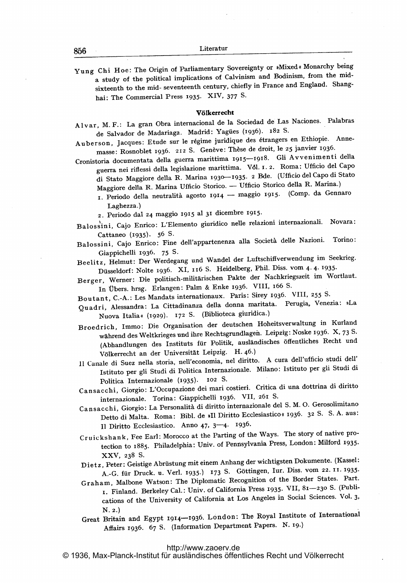Yung Chi Hoe: The Origin of Parliamentary Sovereignty or \*Mixed \* Monarchy being a study of the political implications of Calvinism and Bodinism, from the midsixteenth to the mid- seventeenth century, chiefly in France and England. Shanghai: The Commercial Press 1935. XIV, 377 S.

#### Valkerrecht

A l var, M. F.: La gran Obra internacional de la Sociedad de Las Naciones. Palabras de Salvador de Madariaga. Madrid: Yagües (1936). 182 S.

Auberson, Jacques: Etude sur le régime juridique des étrangers en Ethiopie. Annemasse: Rosnoblet 1936. 212 S. Genève: Thèse de droit, le 25 janvier 1936.

Cronistoria documentata della guerra marittima 1915-1918. Gli Avvenimenti della guerra nei riflessi delta legislazione marittima. V61.1. 2. Roma: Ufficio del Capo di Stato Maggiore delta R. Marina 1930-1935. <sup>2</sup> Bde. (Ufficio del Capo di Stato Maggiore della R. Marina Ufficio Storico. -- Ufficio Storico, della R. Marina.)

- daggiore della R. Marina Unicio Storico. Unicio Steffe Steffe III.<br>L. Periodo della neutralità agosto 1914 maggio 1915. (Comp. da Gennaro Laghezza.)
- 2. Periodo dal 24 maggio 1915 at <sup>31</sup> dicembre 1915.

Balossini, Cajo Enrico: L'Elemento giuridico nelle relazioni internazionali. Novara: Cattaneo (1935). 56 S.

Balossini, Cajo Enrico: Fine dell'appartenenza alla Società delle Nazioni. Torino: Giappichelli 1936. 75 S.

Beelitz, Helmut: Der Werdegang und Wandel der Luftschiflverwendung im Seekrieg. Düsseldorf: Nolte 1936. XI, 116 S. Heidelberg, Phil. Diss. vom 4.4. 1935.

Berger, Werner: Die politisch-militarischen Pakte der Nachkriegszeit im Wortlaut. In Vbers. hrsg. Erlangen: Palm & Enke 1936. VIII, 166 S.

Boutant, C.-A.: Les Mandats internationaux. Paris: Sirey 1936. VIII, 255 S-

Quadri, Alessandra: La Cittadinanza della donna maritata. Perugia, Venezia: »La Nuova Italia« (1929). 172 S. (Biblioteca giuridica.)

Broedrich, Immo: Die Organisation der deutschen Hoheitsverwaltung in Kurland während des Weltkrieges und ihre Rechtsgrundlagen. Leipzig: Noske 1936. X, 73 S. (Abhandlungen des Instituts ffir Politik, auslandisches 6ffentliches Recht und Völkerrecht an der Universität Leipzig. H. 46.)

<sup>11</sup> Canale di Suez nella storia, nell'economia, net diritto. A cura dell'ufficio studi dell' Istituto per gli Studi di Politica Internazionale. Milano: Istituto per gli Studi di Politica Internazionale (1935). 102 S.

Cansacchi, Giorgio: L'Occupazione dei mari costieri. Critica di una dottrina di diritto internazionale. Torina: Giappichelli 1936. VII, 261 S.

- Cansacchi, Giorgio: La Personalità di diritto internazionale del S. M. O. Gerosolimitano Detto di Malta. Roma: Bibl. de »Il Diritto Ecclesiastico« 1936. 32 S. S. A. aus: 11 Diritto Ecclesiastico. Anno 47, 3-4. 1936.
- Cruickshank, Fee Earl: Morocco at the Parting of the Ways. The story of native protection to 1885. Philadelphia: Univ. of Pennsylvania Press, London: Milford 1935. XXV, 238 S.
- Dietz, Peter: Geistige Abrüstung mit einem Anhang der wichtigsten Dokumente. (Kassel: A.-G. für Druck. u. Verl. 1935-) <sup>173</sup> S. Göttingen, Iur. Diss. vom 22. Il. 1935.
- Graham, Malbone Watson: The Diplomatic Recognition of the Border States. Part. 1. Finland. Berkeley Cal.: Univ. of California Press 1935. VII, 81-230 S. (Publications of the University of California at Los Angeles in Social Sciences. V01. 3, N. 2.)

Great Britain and Egypt 1914-1936. London: The Royal Institute of International Affairs 1936. 67 S. (Information Department Papers. N. ig.)

<http://www.zaoerv.de>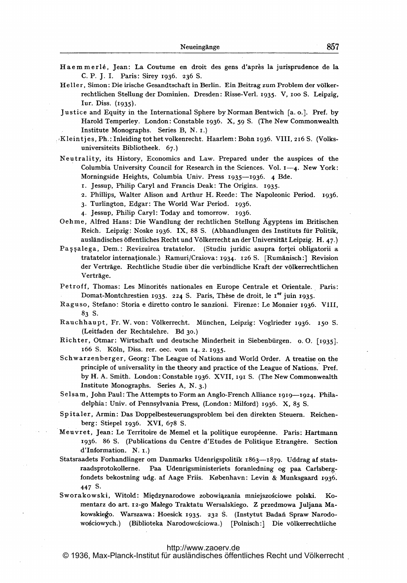- Haemmerlé, Jean: La Coutume en droit des gens d'après la jurisprudence de la C. P. J. I. Paris: Sirey 1936. 236 S.
- Heller, Simon: Die irische Gesandtschaft in Berlin. Ein Beitrag zum Problem der völkerrechtlichen Stellung der Dominien. Dresden: Risse-Verl. 1935. V, 100 S. Leipzig, Iur. Diss. (1935).
- Justice and Equity in the International Sphere by Norman Bentwich [a. o.]. Pref. by Harold Temperley. London: Constable 1936. X, 59 S. (The New Commonwealth Institute Monographs. Series B, N. I.)
- Kleintjes, Ph.: Inleiding tot het volkenrecht. Haarlem: Bohn 1936. VIII, 216 S. (Volksuniversiteits Bibliotheek. 67.)
- Neutrality, its History, Economics and Law. Prepared under the auspices of the Columbia University Council for Research in the Sciences. Vol. 1—4. New York: Morningside Heights, Columbia Univ. Press 1935-1936. 4 Bde.
	- 1. Jessup, Philip Caryl and Francis Deak: The Origins. 1935.
	- 2. Phillips, Walter Alison and Arthur H. Reede: The Napoleonic Period. 1936.
	- 3. Turlington, Edgar: The World War Period. 1936.

4. Jessup, Philip Caryl: Today and tomorrow. 1936.

- Oehme, Alfred Hans: Die Wandlung der rechtlichen Stellung Ägyptens im Britischen Reich. Leipzig: Noske 1936. IX, 88 S. (Abhandlungen des Instituts für Politik, ausländisches öffentliches Recht und Völkerrecht an der Universität Leipzig. H. 47.)
- Pașșalega, Dem.: Revizuirca tratatelor. (Studiu juridic asupra forței obligatorii a tratatelor internaționale.) Ramuri/Craiova: 1934. 126 S. [Rumänisch:] Revision der Verträge. Rechtliche Studie über die verbindliche Kraft der völkerrechtlichen Verträge.
- Petroff, Thomas: Les Minorités nationales en Europe Centrale et Orientale. Paris: Domat-Montchrestien 1935. 224 S. Paris, Thèse de droit, le 1<sup>er</sup> juin 1935.
- Raguso, Stefano: Storia e diretto contro le sanzioni. Firenze: Le Monnier 1936. VIII, 83 S.
- Rauchhaupt, Fr. W. von: Völkerrecht. München, Leipzig: Voglrieder 1936. 150 S. (Leitfaden der Rechtslehre. Bd 30.)
- Richter, Otmar: Wirtschaft und deutsche Minderheit in Siebenbürgen. o. O. [1935]. 166 S. Köln, Diss. rer. oec. vom 14. 2. 1935.
- Schwarzenberger, Georg: The League of Nations and World Order. A treatise on the principle of universality in the theory and practice of the League of Nations. Pref. by H. A. Smith. London: Constable 1936. XVII, 191 S. (The New Commonwealth Institute Monographs. Series A, N. 3.)
- Selsam, John Paul: The Attempts to Form an Anglo-French Alliance 1919-1924. Philadelphia: Univ. of Pennsylvania Press, (London: Milford) 1936. X, 85 S.
- Spitaler, Armin: Das Doppelbesteuerungsproblem bei den direkten Steuern. Reichenberg: Stiepel 1936. XVI, 678 S.
- Meuvret, Jean: Le Territoire de Memel et la politique européenne. Paris: Hartmann 1936. 86 S. (Publications du Centre d'Etudes de Politique Etrangère. Section d'Information. N. I.)
- Statsraadets Forhandlinger om Danmarks Udenrigspolitik 1863-1879. Uddrag af statsraadsprotokollerne. Paa Udenrigsministeriets foranledning og paa Carlsbergfondets bekostning udg. af Aage Friis. København: Levin & Munksgaard 1936. 447 S.
- Sworakowski, Witold: Międzynarodowe zobowiązania mniejszościowe polski. Komentarz do art. 12-go Małego Traktatu Wersalskiego. Z przedmowa Juljana Makowskiego. Warszawa: Hoesick 1935. 232 S. (Instytut Badań Spraw Narodowościowych.) (Biblioteka Narodowcściowa.) [Polnisch:] Die völkerrechtliche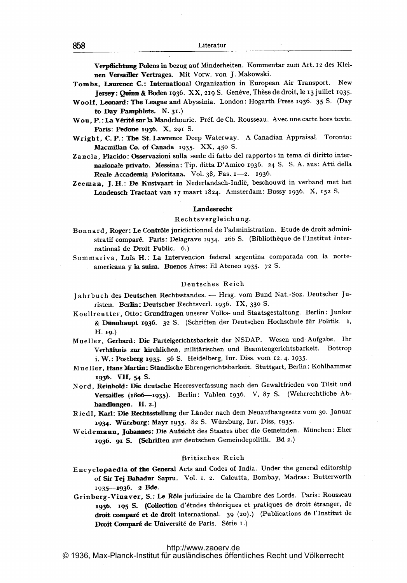Verpflichtung Polens in bezug auf Minderheiten. Kommentar zum Art. <sup>12</sup> des Kleinen Versailler Vertrages. Mit Vorw. von j. Makowski.

- Tombs, Laurence C.: International Organization in European Air Transport. New Jersey: Quinn & Boden 1936. XX, 219 S. Genève, Thèse de droit, le 13 juillet 1935
- Woolf, Leonard: The League and Abyssinia. London: Hogarth Press 1936. <sup>35</sup> S. (Day to Day Pamphlets.  $N. 31.$ )
- Wou, P.: La Vérité sur la Mandchourie. Préf. de Ch. Rousseau. Avec une carte hors texte. Paris: Pedone 1936. X, 291 S.
- Wright, C. P.: The St. Lawrence Deep Waterway. A Canadian Appraisal. Toronto: Macmillan Co. of Canada 1935. XX, 450 S.
- Zancla, Placido: Osservazioni sulla »sede di fatto del rapporto« in tema di diritto internazionale privato. Messina: Tip. ditta D'Amico 1936. <sup>24</sup> S. S. A. aus: Atti della Reale Accademia Peloritana. Vol. 38, Fas. 1-2. 1936.
- Zeeman, J. H.: De Kustvaart in Nederlandsch-Indië, beschouwd in verband met het Londensch Tractaat van <sup>17</sup> maart 1824. Amsterdam: Bussy 1936. X, <sup>152</sup> S.

## Landesrecht

### Rechtsvergleichung.

- Bonnard, Roger: Le Contrôle juridictionnel de l'administration. Etude de droit administratif comparé. Paris: Delagrave 1934. 266 S. (Bibliothèque de l'Institut International de Droit Public. 6.)
- Sommariva, Luis H.: La Intervencion federal argentina comparada con la norteamericana y la suiza. Buenos Aires: El Ateneo 1935. <sup>72</sup> S.

#### Deutsches Reich

- <sup>j</sup> <sup>a</sup> <sup>h</sup> <sup>r</sup> <sup>b</sup> <sup>u</sup> <sup>c</sup> <sup>h</sup> des Deutschen Rechtsstandes. Hrsg. vom Bund Nat.-Soz. Deutscher <sup>j</sup> uristen. Berlin: Deutscher Rechtsverl. 1936. IX, 330 S.
- Koellreutter, Otto: Grundfragen unserer Volks- und Staatsgestaltung. Berlin: junker & Dünnhaupt 1936. 32 S. (Schriften der Deutschen Hochschule für Politik. I, H. 19.)
- Mueller, Gerhard: Die Parteigerichtsbarkeit der NSDAP. Wesen und Aufgabe. Ihr Verhiltnis. zur kirchlichen, militarischen und Beamtengerichtsbarkeit. Bottrop i. W.: Postberg 1935. 56 S. Heidelberg, Iur. Diss. vom 12. 4. 1935.
- Mueller, Hans Martin: Ständische Ehrengerichtsbarkeit. Stuttgart, Berlin: Kohlhammer 1936. VII, 54 S.
- Nord, Reinhold: Die deutsche Heeresverfassung nach den Gewaltfrieden von Tilsit und Versailles (1806-1935). Berlin: Vahlen 1936. V, 87 S. (Wehrrechtliche Abhandlungen. H. 2.)
- Riedl, Karl: Die Rechtsstellung der Länder nach dem Neuaufbaugesetz vom 30. Januar 1934. Würzburg: Mayr 1935. 82 S. Würzburg, Iur. Diss. 1935.
- Weidemann, Johannes: Die Aufsicht des Staates über die Gemeinden. München: Eher 1936. 91 S. (Schriften zur deutschen Gemeindepolitik. Bd 2.)

#### Britisches Reich

- Encyclopaedia. of the General Acts and Codes of India. Under the general editorship of Sir Tej Bahadur Sapru. Vol. 1. 2. Calcutta, Bombay, Madras: Butterworth 1935-1936. 2 Bde.
- Grinberg-Vinaver, S.: Le R61e judiciaire de la Chambre des Lords. Paris: Rousseau 1936. 195 S. (Collection d'études théoriques et pratiques de droit étranger, de droit comparé et de droit international. 39 (20).) (Publications de l'Institut de Droit Comparé de Université de Paris. Série 1.)

## <http://www.zaoerv.de>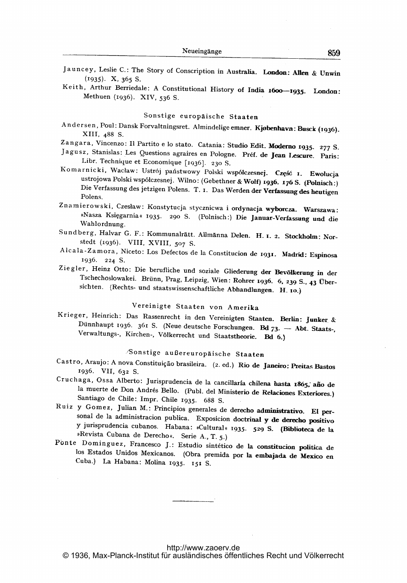- Jauncey, Leslie C.: The Story of Conscription in Australia. London: Allen & Unwin (1935). X, 365 S.
- Keith, Arthur Berriedale: A Constitutional History of India 1600-1935. London: Methuen (1936). XIV, 536 S.

# Sonstige europäische Staaten

Andersen, Poul: Dansk Forvaltningsret. Almindelige emner. Kjøbenhavn: Busck (1936). XIII, 488 S.

Zangara, Vincenzo: Il Partito e lo stato. Catania: Studio Edit. Moderno 1935. 277 S.

- Jagusz, Stanislas: Les Questions agraires en Pologne. Pref. de Jean Lescure. Paris: Libr. Technique et Economique [1936]. 230 S.
- Komarnicki, Wacław: Ustrój państwowy Polski współczesnej. Część 1. Ewolucja ustroiowa Polski wspölczesnej. Wilno: (Gebethner & Wolf) 1936- 176 S. (Polnisch:) Die Verfassung des jetzigen Polens. T. i. Das Werden der Verfassung des heutigen Polens.
- Znamierowski, Czesław: Konstytucja stycznicwa i ordynacja wyborcza. Warszawa: »Nasza Księgarnia« 1935. 290 S. (Polnisch:) Die Januar-Verfassung und die Wahlordnung.
- Sundberg, Halvar G. F.: Kommunalrätt. Allmänna Delen. H. 1. 2. Stockholm: Norstedt (1936). VIII, XVIII, 507 S.
- Aleala-Zamora, Niceto: Los Delectos de la Constitucion de 1931- Madrid: Espinosa 1936. 224 S.
- Ziegler, Heinz Otto: Die berufliche und soziale Gliederung der Bevölkerung in der Tschechoslowakei. Brünn, Prag, Leipzig, Wien: Rohrer 1936. 6, 239 S., 43 Übersichten. (Rechts- und staatswissenschaftliche Abhandlungen. H. 10.)

# Vereinigte Staaten von Amerika

Krieger, Heinrich: Das Rassenrecht in den Vereinigten Staaten. Berlin: Junker & Dünnhaupt 1936. 361 S. (Neue deutsche Forschungen. Bd 73. - Abt. Staats-, Verwaltungs-, Kirchen-, Völkerrecht und Staatstheorie. Bd 6.)

# "'Sonstige außereuropäische Staaten

- Castro, Araujo: A nova Constituição brasileira. (2. ed.) Rio de Janeiro: Preitas Bastos 1936. VII, 632 S.
- Cruchaga, Ossa Alberto: Jurisprudencia de la cancillaría chilena hasta 1865, año de la muerte de Don Andrés Bello. (Publ. del Ministerio de Relaciones Exteriores.) Santiago de Chile: Impr. Chile 1935. 688 S.
- Ruiz y Gomez, Julian M.: Principios generales de derecho administrativo. El personal de la administracion publica. Exposicion doctrinal y de derecho positivo y jurisprudencia cubanos. Habana: »Cultural 1935. 529 S. (Biblioteca de la »Revista Cubana de Derecho«. Serie A., T. 5.)
- Ponte Dominguez, Francesco J.: Estudio sintético de la constitucion politica de los Estados Unidos Mexicanos. (Obra premida por la embajada de Mexico en Cuba.) La Habana: Molina 1935. <sup>151</sup> S.